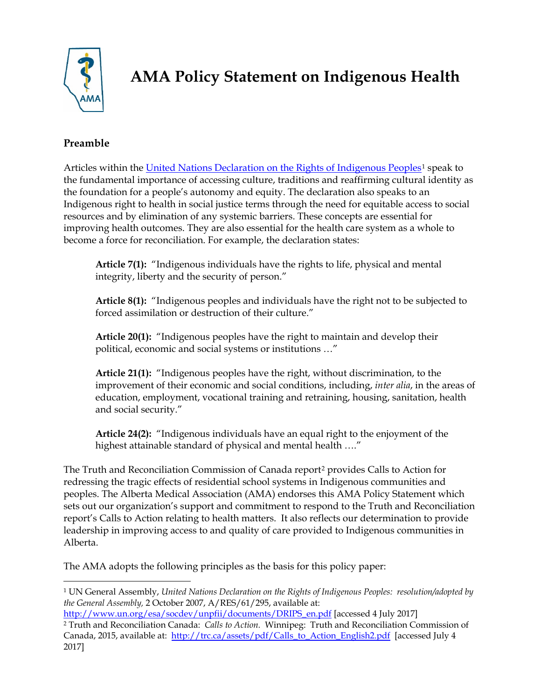

# **AMA Policy Statement on Indigenous Health**

## **Preamble**

Articles within the [United Nations Declaration on the Rights of Indigenous Peoples](http://www.un.org/esa/socdev/unpfii/documents/DRIPS_en.pdf)<sup>[1](#page-0-0)</sup> speak to the fundamental importance of accessing culture, traditions and reaffirming cultural identity as the foundation for a people's autonomy and equity. The declaration also speaks to an Indigenous right to health in social justice terms through the need for equitable access to social resources and by elimination of any systemic barriers. These concepts are essential for improving health outcomes. They are also essential for the health care system as a whole to become a force for reconciliation. For example, the declaration states:

**Article 7(1):** "Indigenous individuals have the rights to life, physical and mental integrity, liberty and the security of person."

**Article 8(1):** "Indigenous peoples and individuals have the right not to be subjected to forced assimilation or destruction of their culture."

**Article 20(1):** "Indigenous peoples have the right to maintain and develop their political, economic and social systems or institutions …"

**Article 21(1):** "Indigenous peoples have the right, without discrimination, to the improvement of their economic and social conditions, including, *inter alia*, in the areas of education, employment, vocational training and retraining, housing, sanitation, health and social security."

**Article 24(2):** "Indigenous individuals have an equal right to the enjoyment of the highest attainable standard of physical and mental health …."

The Truth and Reconciliation Commission of Canada report[2](#page-0-1) provides Calls to Action for redressing the tragic effects of residential school systems in Indigenous communities and peoples. The Alberta Medical Association (AMA) endorses this AMA Policy Statement which sets out our organization's support and commitment to respond to the Truth and Reconciliation report's Calls to Action relating to health matters. It also reflects our determination to provide leadership in improving access to and quality of care provided to Indigenous communities in Alberta.

The AMA adopts the following principles as the basis for this policy paper:

<span id="page-0-0"></span><sup>1</sup> UN General Assembly, *United Nations Declaration on the Rights of Indigenous Peoples: resolution/adopted by the General Assembly,* 2 October 2007, A/RES/61/295, available at:

<span id="page-0-1"></span>[http://www.un.org/esa/socdev/unpfii/documents/DRIPS\\_en.pdf](http://www.un.org/esa/socdev/unpfii/documents/DRIPS_en.pdf) [accessed 4 July 2017] <sup>2</sup> Truth and Reconciliation Canada: *Calls to Action.* Winnipeg: Truth and Reconciliation Commission of Canada, 2015, available at: [http://trc.ca/assets/pdf/Calls\\_to\\_Action\\_English2.pdf](http://trc.ca/assets/pdf/Calls_to_Action_English2.pdf) [accessed July 4 2017]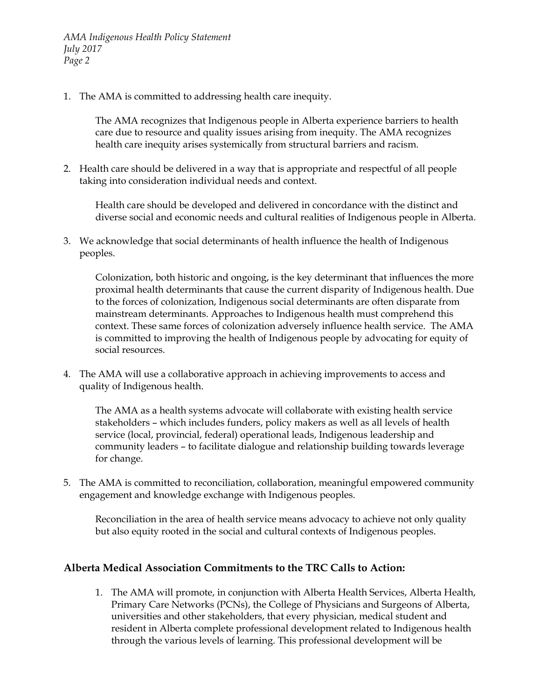1. The AMA is committed to addressing health care inequity.

The AMA recognizes that Indigenous people in Alberta experience barriers to health care due to resource and quality issues arising from inequity. The AMA recognizes health care inequity arises systemically from structural barriers and racism.

2. Health care should be delivered in a way that is appropriate and respectful of all people taking into consideration individual needs and context.

Health care should be developed and delivered in concordance with the distinct and diverse social and economic needs and cultural realities of Indigenous people in Alberta.

3. We acknowledge that social determinants of health influence the health of Indigenous peoples.

Colonization, both historic and ongoing, is the key determinant that influences the more proximal health determinants that cause the current disparity of Indigenous health. Due to the forces of colonization, Indigenous social determinants are often disparate from mainstream determinants. Approaches to Indigenous health must comprehend this context. These same forces of colonization adversely influence health service. The AMA is committed to improving the health of Indigenous people by advocating for equity of social resources.

4. The AMA will use a collaborative approach in achieving improvements to access and quality of Indigenous health.

The AMA as a health systems advocate will collaborate with existing health service stakeholders – which includes funders, policy makers as well as all levels of health service (local, provincial, federal) operational leads, Indigenous leadership and community leaders – to facilitate dialogue and relationship building towards leverage for change.

5. The AMA is committed to reconciliation, collaboration, meaningful empowered community engagement and knowledge exchange with Indigenous peoples.

Reconciliation in the area of health service means advocacy to achieve not only quality but also equity rooted in the social and cultural contexts of Indigenous peoples.

## **Alberta Medical Association Commitments to the TRC Calls to Action:**

1. The AMA will promote, in conjunction with Alberta Health Services, Alberta Health, Primary Care Networks (PCNs), the College of Physicians and Surgeons of Alberta, universities and other stakeholders, that every physician, medical student and resident in Alberta complete professional development related to Indigenous health through the various levels of learning. This professional development will be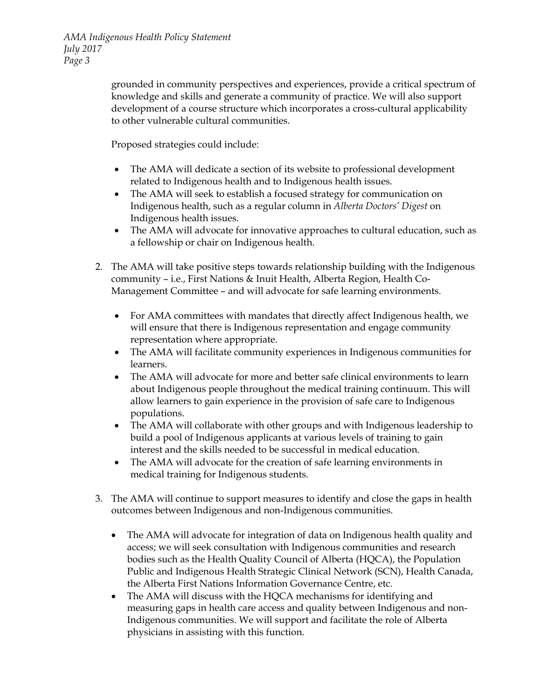*AMA Indigenous Health Policy Statement July 2017 Page 3*

> grounded in community perspectives and experiences, provide a critical spectrum of knowledge and skills and generate a community of practice. We will also support development of a course structure which incorporates a cross-cultural applicability to other vulnerable cultural communities.

Proposed strategies could include:

- The AMA will dedicate a section of its website to professional development related to Indigenous health and to Indigenous health issues.
- The AMA will seek to establish a focused strategy for communication on Indigenous health, such as a regular column in *Alberta Doctors' Digest* on Indigenous health issues.
- The AMA will advocate for innovative approaches to cultural education, such as a fellowship or chair on Indigenous health.
- 2. The AMA will take positive steps towards relationship building with the Indigenous community – i.e., First Nations & Inuit Health, Alberta Region, Health Co-Management Committee – and will advocate for safe learning environments.
	- For AMA committees with mandates that directly affect Indigenous health, we will ensure that there is Indigenous representation and engage community representation where appropriate.
	- The AMA will facilitate community experiences in Indigenous communities for learners.
	- The AMA will advocate for more and better safe clinical environments to learn about Indigenous people throughout the medical training continuum. This will allow learners to gain experience in the provision of safe care to Indigenous populations.
	- The AMA will collaborate with other groups and with Indigenous leadership to build a pool of Indigenous applicants at various levels of training to gain interest and the skills needed to be successful in medical education.
	- The AMA will advocate for the creation of safe learning environments in medical training for Indigenous students.
- 3. The AMA will continue to support measures to identify and close the gaps in health outcomes between Indigenous and non-Indigenous communities.
	- The AMA will advocate for integration of data on Indigenous health quality and access; we will seek consultation with Indigenous communities and research bodies such as the Health Quality Council of Alberta (HQCA), the Population Public and Indigenous Health Strategic Clinical Network (SCN), Health Canada, the Alberta First Nations Information Governance Centre, etc.
	- The AMA will discuss with the HQCA mechanisms for identifying and measuring gaps in health care access and quality between Indigenous and non-Indigenous communities. We will support and facilitate the role of Alberta physicians in assisting with this function.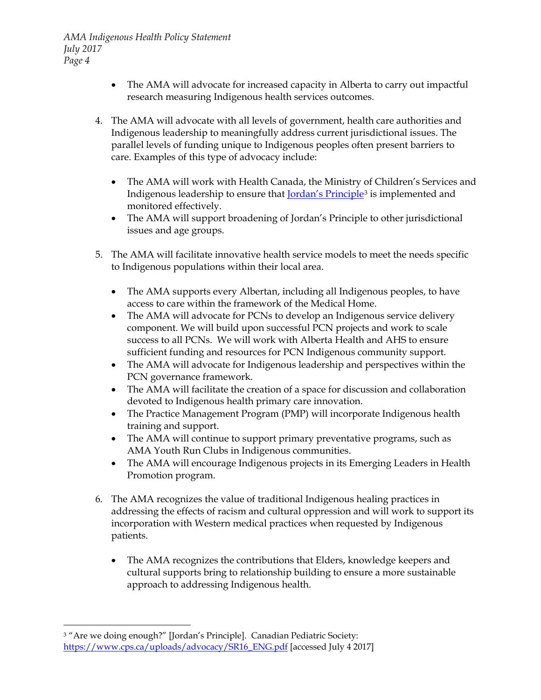- The AMA will advocate for increased capacity in Alberta to carry out impactful research measuring Indigenous health services outcomes.
- 4. The AMA will advocate with all levels of government, health care authorities and Indigenous leadership to meaningfully address current jurisdictional issues. The parallel levels of funding unique to Indigenous peoples often present barriers to care. Examples of this type of advocacy include:
	- The AMA will work with Health Canada, the Ministry of Children's Services and Indigenous leadership to ensure that [Jordan's Principle](https://www.cps.ca/uploads/advocacy/SR16_ENG.pdf)[3](#page-3-0) is implemented and monitored effectively.
	- The AMA will support broadening of Jordan's Principle to other jurisdictional issues and age groups.
- 5. The AMA will facilitate innovative health service models to meet the needs specific to Indigenous populations within their local area.
	- The AMA supports every Albertan, including all Indigenous peoples, to have access to care within the framework of the Medical Home.
	- The AMA will advocate for PCNs to develop an Indigenous service delivery component. We will build upon successful PCN projects and work to scale success to all PCNs. We will work with Alberta Health and AHS to ensure sufficient funding and resources for PCN Indigenous community support.
	- The AMA will advocate for Indigenous leadership and perspectives within the PCN governance framework.
	- The AMA will facilitate the creation of a space for discussion and collaboration devoted to Indigenous health primary care innovation.
	- The Practice Management Program (PMP) will incorporate Indigenous health training and support.
	- The AMA will continue to support primary preventative programs, such as AMA Youth Run Clubs in Indigenous communities.
	- The AMA will encourage Indigenous projects in its Emerging Leaders in Health Promotion program.
- 6. The AMA recognizes the value of traditional Indigenous healing practices in addressing the effects of racism and cultural oppression and will work to support its incorporation with Western medical practices when requested by Indigenous patients.
	- The AMA recognizes the contributions that Elders, knowledge keepers and cultural supports bring to relationship building to ensure a more sustainable approach to addressing Indigenous health.

<span id="page-3-0"></span><sup>3</sup> "Are we doing enough?" [Jordan's Principle]. Canadian Pediatric Society: [https://www.cps.ca/uploads/advocacy/SR16\\_ENG.pdf](https://www.cps.ca/uploads/advocacy/SR16_ENG.pdf) [accessed July 4 2017]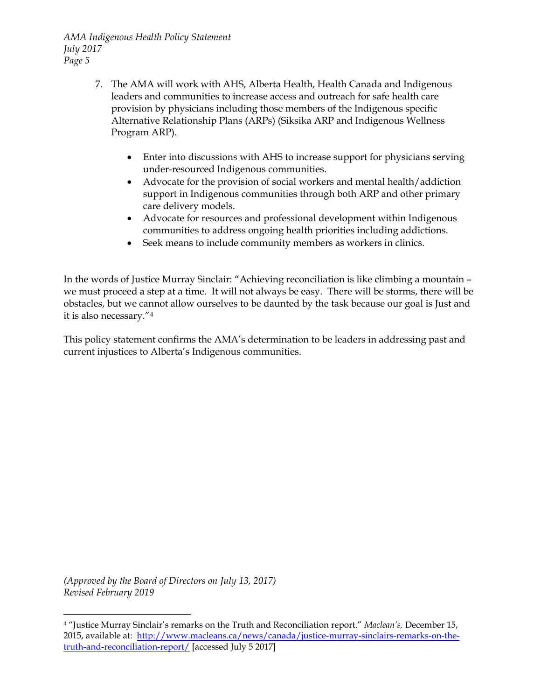- 7. The AMA will work with AHS, Alberta Health, Health Canada and Indigenous leaders and communities to increase access and outreach for safe health care provision by physicians including those members of the Indigenous specific Alternative Relationship Plans (ARPs) (Siksika ARP and Indigenous Wellness Program ARP).
	- Enter into discussions with AHS to increase support for physicians serving under-resourced Indigenous communities.
	- Advocate for the provision of social workers and mental health/addiction support in Indigenous communities through both ARP and other primary care delivery models.
	- Advocate for resources and professional development within Indigenous communities to address ongoing health priorities including addictions.
	- Seek means to include community members as workers in clinics.

In the words of Justice Murray Sinclair: "Achieving reconciliation is like climbing a mountain – we must proceed a step at a time. It will not always be easy. There will be storms, there will be obstacles, but we cannot allow ourselves to be daunted by the task because our goal is Just and it is also necessary."[4](#page-4-0)

This policy statement confirms the AMA's determination to be leaders in addressing past and current injustices to Alberta's Indigenous communities.

*(Approved by the Board of Directors on July 13, 2017) Revised February 2019*

<span id="page-4-0"></span><sup>4</sup> "Justice Murray Sinclair's remarks on the Truth and Reconciliation report." *Maclean's,* December 15, 2015, available at: [http://www.macleans.ca/news/canada/justice-murray-sinclairs-remarks-on-the](http://www.macleans.ca/news/canada/justice-murray-sinclairs-remarks-on-the-truth-and-reconciliation-report/)[truth-and-reconciliation-report/](http://www.macleans.ca/news/canada/justice-murray-sinclairs-remarks-on-the-truth-and-reconciliation-report/) [accessed July 5 2017]